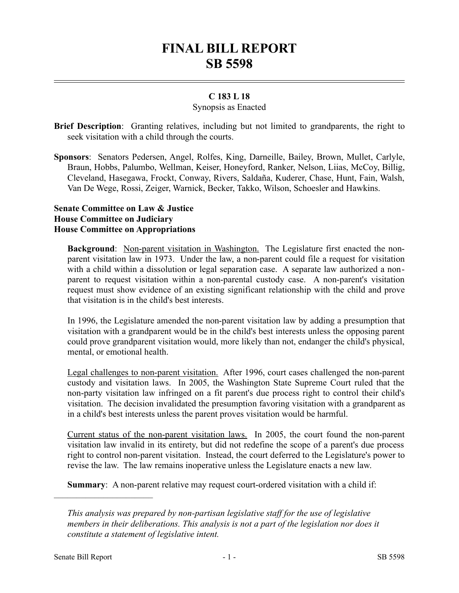# **FINAL BILL REPORT SB 5598**

## **C 183 L 18**

#### Synopsis as Enacted

**Brief Description**: Granting relatives, including but not limited to grandparents, the right to seek visitation with a child through the courts.

**Sponsors**: Senators Pedersen, Angel, Rolfes, King, Darneille, Bailey, Brown, Mullet, Carlyle, Braun, Hobbs, Palumbo, Wellman, Keiser, Honeyford, Ranker, Nelson, Liias, McCoy, Billig, Cleveland, Hasegawa, Frockt, Conway, Rivers, Saldaña, Kuderer, Chase, Hunt, Fain, Walsh, Van De Wege, Rossi, Zeiger, Warnick, Becker, Takko, Wilson, Schoesler and Hawkins.

#### **Senate Committee on Law & Justice House Committee on Judiciary House Committee on Appropriations**

**Background:** Non-parent visitation in Washington. The Legislature first enacted the nonparent visitation law in 1973. Under the law, a non-parent could file a request for visitation with a child within a dissolution or legal separation case. A separate law authorized a nonparent to request visitation within a non-parental custody case. A non-parent's visitation request must show evidence of an existing significant relationship with the child and prove that visitation is in the child's best interests.

In 1996, the Legislature amended the non-parent visitation law by adding a presumption that visitation with a grandparent would be in the child's best interests unless the opposing parent could prove grandparent visitation would, more likely than not, endanger the child's physical, mental, or emotional health.

Legal challenges to non-parent visitation. After 1996, court cases challenged the non-parent custody and visitation laws. In 2005, the Washington State Supreme Court ruled that the non-party visitation law infringed on a fit parent's due process right to control their child's visitation. The decision invalidated the presumption favoring visitation with a grandparent as in a child's best interests unless the parent proves visitation would be harmful.

Current status of the non-parent visitation laws. In 2005, the court found the non-parent visitation law invalid in its entirety, but did not redefine the scope of a parent's due process right to control non-parent visitation. Instead, the court deferred to the Legislature's power to revise the law. The law remains inoperative unless the Legislature enacts a new law.

**Summary**: A non-parent relative may request court-ordered visitation with a child if:

––––––––––––––––––––––

*This analysis was prepared by non-partisan legislative staff for the use of legislative members in their deliberations. This analysis is not a part of the legislation nor does it constitute a statement of legislative intent.*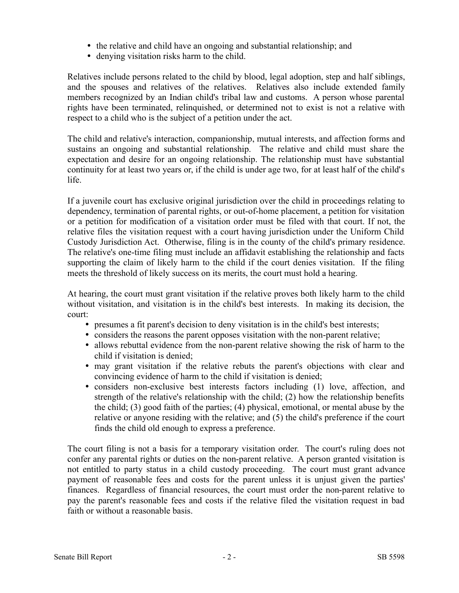- the relative and child have an ongoing and substantial relationship; and
- denying visitation risks harm to the child.

Relatives include persons related to the child by blood, legal adoption, step and half siblings, and the spouses and relatives of the relatives. Relatives also include extended family members recognized by an Indian child's tribal law and customs. A person whose parental rights have been terminated, relinquished, or determined not to exist is not a relative with respect to a child who is the subject of a petition under the act.

The child and relative's interaction, companionship, mutual interests, and affection forms and sustains an ongoing and substantial relationship. The relative and child must share the expectation and desire for an ongoing relationship. The relationship must have substantial continuity for at least two years or, if the child is under age two, for at least half of the child's life.

If a juvenile court has exclusive original jurisdiction over the child in proceedings relating to dependency, termination of parental rights, or out-of-home placement, a petition for visitation or a petition for modification of a visitation order must be filed with that court. If not, the relative files the visitation request with a court having jurisdiction under the Uniform Child Custody Jurisdiction Act. Otherwise, filing is in the county of the child's primary residence. The relative's one-time filing must include an affidavit establishing the relationship and facts supporting the claim of likely harm to the child if the court denies visitation. If the filing meets the threshold of likely success on its merits, the court must hold a hearing.

At hearing, the court must grant visitation if the relative proves both likely harm to the child without visitation, and visitation is in the child's best interests. In making its decision, the court:

- presumes a fit parent's decision to deny visitation is in the child's best interests;
- considers the reasons the parent opposes visitation with the non-parent relative;
- allows rebuttal evidence from the non-parent relative showing the risk of harm to the child if visitation is denied;
- may grant visitation if the relative rebuts the parent's objections with clear and convincing evidence of harm to the child if visitation is denied;
- considers non-exclusive best interests factors including (1) love, affection, and strength of the relative's relationship with the child; (2) how the relationship benefits the child; (3) good faith of the parties; (4) physical, emotional, or mental abuse by the relative or anyone residing with the relative; and (5) the child's preference if the court finds the child old enough to express a preference.

The court filing is not a basis for a temporary visitation order. The court's ruling does not confer any parental rights or duties on the non-parent relative. A person granted visitation is not entitled to party status in a child custody proceeding. The court must grant advance payment of reasonable fees and costs for the parent unless it is unjust given the parties' finances. Regardless of financial resources, the court must order the non-parent relative to pay the parent's reasonable fees and costs if the relative filed the visitation request in bad faith or without a reasonable basis.